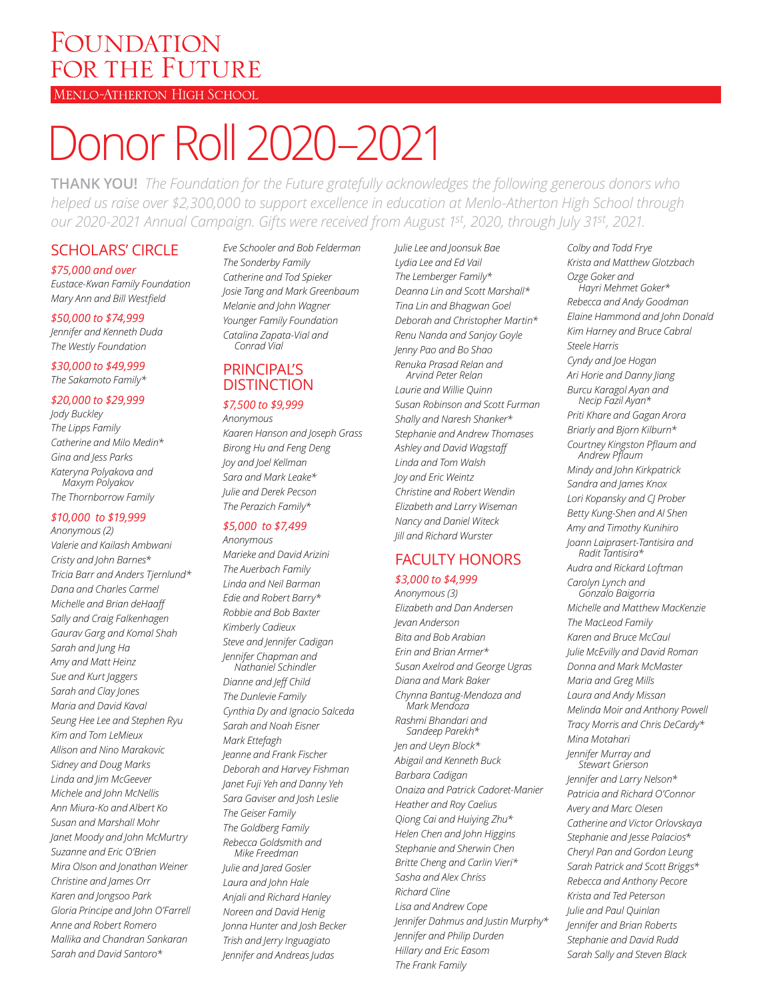## FOUNDATION FOR THE FUTURE

#### MENLO-ATHERTON HIGH SCHOOL

# Donor Roll 2020–2021

**THANK YOU!** *The Foundation for the Future gratefully acknowledges the following generous donors who helped us raise over \$2,300,000 to support excellence in education at Menlo-Atherton High School through our 2020-2021 Annual Campaign. Gifts were received from August 1st, 2020, through July 31st, 2021.* 

### SCHOLARS' CIRCLE

#### *\$75,000 and over*

*Eustace-Kwan Family Foundation Mary Ann and Bill Westfield*

#### *\$50,000 to \$74,999*

*Jennifer and Kenneth Duda The Westly Foundation*

#### *\$30,000 to \$49,999 The Sakamoto Family\**

#### *\$20,000 to \$29,999*

*Jody Buckley The Lipps Family Catherine and Milo Medin\* Gina and Jess Parks Kateryna Polyakova and Maxym Polyakov The Thornborrow Family*

#### *\$10,000 to \$19,999*

*Anonymous (2) Valerie and Kailash Ambwani Cristy and John Barnes\* Tricia Barr and Anders Tjernlund\* Dana and Charles Carmel Michelle and Brian deHaaff Sally and Craig Falkenhagen Gaurav Garg and Komal Shah Sarah and Jung Ha Amy and Matt Heinz Sue and Kurt Jaggers Sarah and Clay Jones Maria and David Kaval Seung Hee Lee and Stephen Ryu Kim and Tom LeMieux Allison and Nino Marakovic Sidney and Doug Marks Linda and Jim McGeever Michele and John McNellis Ann Miura-Ko and Albert Ko Susan and Marshall Mohr Janet Moody and John McMurtry Suzanne and Eric O'Brien Mira Olson and Jonathan Weiner Christine and James Orr Karen and Jongsoo Park Gloria Principe and John O'Farrell Anne and Robert Romero Mallika and Chandran Sankaran Sarah and David Santoro\**

*Eve Schooler and Bob Felderman The Sonderby Family Catherine and Tod Spieker Josie Tang and Mark Greenbaum Melanie and John Wagner Younger Family Foundation Catalina Zapata-Vial and Conrad Vial*

### **PRINCIPAL'S** DISTINCTION

#### *\$7,500 to \$9,999*

*Anonymous Kaaren Hanson and Joseph Grass Birong Hu and Feng Deng Joy and Joel Kellman Sara and Mark Leake\* Julie and Derek Pecson The Perazich Family\**

#### *\$5,000 to \$7,499*

*Anonymous Marieke and David Arizini The Auerbach Family Linda and Neil Barman Edie and Robert Barry\* Robbie and Bob Baxter Kimberly Cadieux Steve and Jennifer Cadigan Jennifer Chapman and Nathaniel Schindler Dianne and Jeff Child The Dunlevie Family Cynthia Dy and Ignacio Salceda Sarah and Noah Eisner Mark Ettefagh Jeanne and Frank Fischer Deborah and Harvey Fishman Janet Fuji Yeh and Danny Yeh Sara Gaviser and Josh Leslie The Geiser Family The Goldberg Family Rebecca Goldsmith and Mike Freedman*

*Julie and Jared Gosler Laura and John Hale Anjali and Richard Hanley Noreen and David Henig Jonna Hunter and Josh Becker Trish and Jerry Inguagiato Jennifer and Andreas Judas*

*Julie Lee and Joonsuk Bae Lydia Lee and Ed Vail The Lemberger Family\* Deanna Lin and Scott Marshall\* Tina Lin and Bhagwan Goel Deborah and Christopher Martin\* Renu Nanda and Sanjoy Goyle Jenny Pao and Bo Shao Renuka Prasad Relan and* 

*Arvind Peter Relan Laurie and Willie Quinn Susan Robinson and Scott Furman Shally and Naresh Shanker\* Stephanie and Andrew Thomases Ashley and David Wagstaff Linda and Tom Walsh Joy and Eric Weintz Christine and Robert Wendin Elizabeth and Larry Wiseman Nancy and Daniel Witeck Jill and Richard Wurster*

## FACULTY HONORS

#### *\$3,000 to \$4,999 Anonymous (3)*

*Elizabeth and Dan Andersen Jevan Anderson Bita and Bob Arabian Erin and Brian Armer\* Susan Axelrod and George Ugras Diana and Mark Baker Chynna Bantug-Mendoza and Mark Mendoza Rashmi Bhandari and Sandeep Parekh\* Jen and Ueyn Block\* Abigail and Kenneth Buck Barbara Cadigan Onaiza and Patrick Cadoret-Manier Heather and Roy Caelius Qiong Cai and Huiying Zhu\* Helen Chen and John Higgins Stephanie and Sherwin Chen Britte Cheng and Carlin Vieri\* Sasha and Alex Chriss Richard Cline Lisa and Andrew Cope Jennifer Dahmus and Justin Murphy\* Jennifer and Philip Durden Hillary and Eric Easom The Frank Family*

*Colby and Todd Frye Krista and Matthew Glotzbach Ozge Goker and Hayri Mehmet Goker\* Rebecca and Andy Goodman Elaine Hammond and John Donald Kim Harney and Bruce Cabral Steele Harris Cyndy and Joe Hogan Ari Horie and Danny Jiang Burcu Karagol Ayan and Necip Fazil Ayan\* Priti Khare and Gagan Arora Briarly and Bjorn Kilburn\* Courtney Kingston Pflaum and Andrew Pflaum Mindy and John Kirkpatrick Sandra and James Knox Lori Kopansky and CJ Prober Betty Kung-Shen and Al Shen Amy and Timothy Kunihiro Joann Laiprasert-Tantisira and Radit Tantisira\* Audra and Rickard Loftman Carolyn Lynch and Gonzalo Baigorria Michelle and Matthew MacKenzie The MacLeod Family Karen and Bruce McCaul Julie McEvilly and David Roman Donna and Mark McMaster Maria and Greg Mills Laura and Andy Missan Melinda Moir and Anthony Powell Tracy Morris and Chris DeCardy\* Mina Motahari Jennifer Murray and Stewart Grierson Jennifer and Larry Nelson\* Patricia and Richard O'Connor Avery and Marc Olesen Catherine and Victor Orlovskaya Stephanie and Jesse Palacios\* Cheryl Pan and Gordon Leung Sarah Patrick and Scott Briggs\* Rebecca and Anthony Pecore Krista and Ted Peterson Julie and Paul Quinlan Jennifer and Brian Roberts Stephanie and David Rudd Sarah Sally and Steven Black*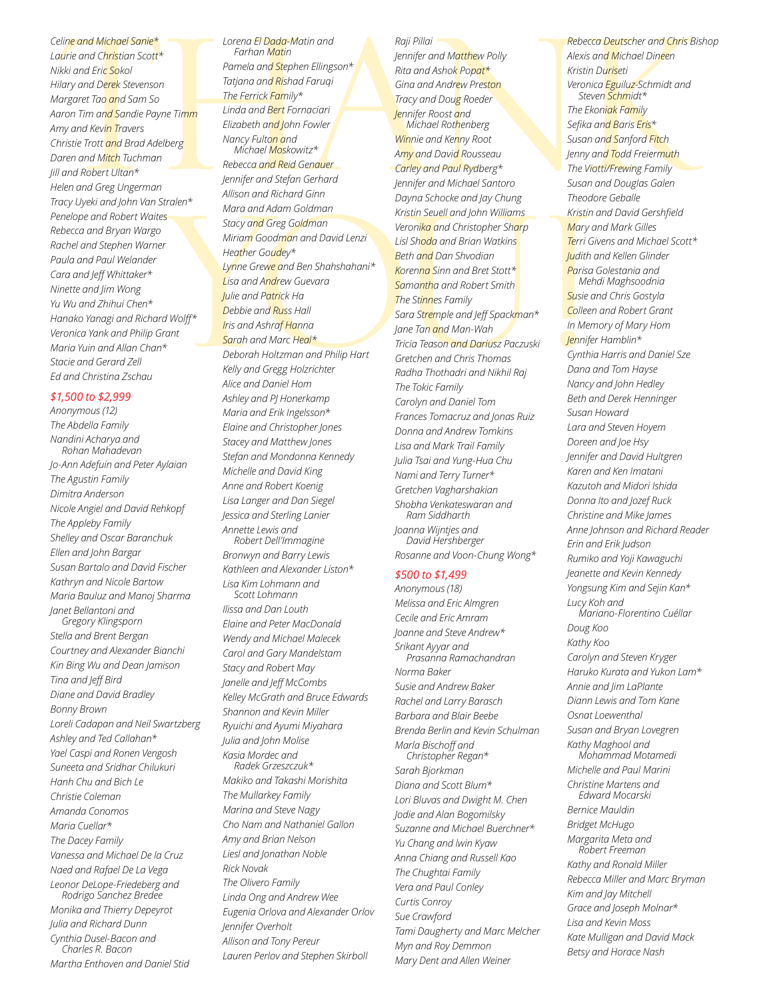Teiline and Michael Sanie \* The User of Bibada-Matin and<br>
intian and Christian Scott Farino Matin Matin and School Parino Matin Polity (Filingson\* Intian and School Parino Matin Polity and Britan Matin Polity and Britan Ma *Celine and Michael Sanie\* Laurie and Christian Scott\* Nikki and Eric Sokol Hilary and Derek Stevenson Margaret Tao and Sam So Aaron Tim and Sandie Payne Timm Amy and Kevin Travers Christie Trott and Brad Adelberg Daren and Mitch Tuchman Jill and Robert Ultan\* Helen and Greg Ungerman Tracy Uyeki and John Van Stralen\* Penelope and Robert Waites Rebecca and Bryan Wargo Rachel and Stephen Warner Paula and Paul Welander Cara and Jeff Whittaker\* Ninette and Jim Wong Yu Wu and Zhihui Chen\* Hanako Yanagi and Richard Wolff\* Veronica Yank and Philip Grant Maria Yuin and Allan Chan\* Stacie and Gerard Zell Ed and Christina Zschau*

#### *\$1,500 to \$2,999*

*Anonymous (12) The Abdella Family Nandini Acharya and Rohan Mahadevan Jo-Ann Adefuin and Peter Aylaian The Agustin Family Dimitra Anderson Nicole Angiel and David Rehkopf The Appleby Family Shelley and Oscar Baranchuk Ellen and John Bargar Susan Bartalo and David Fischer Kathryn and Nicole Bartow Maria Bauluz and Manoj Sharma Janet Bellantoni and Gregory Klingsporn Stella and Brent Bergan Courtney and Alexander Bianchi Kin Bing Wu and Dean Jamison Tina and Jeff Bird Diane and David Bradley Bonny Brown Loreli Cadapan and Neil Swartzberg Ashley and Ted Callahan\* Yael Caspi and Ronen Vengosh Suneeta and Sridhar Chilukuri Hanh Chu and Bich Le Christie Coleman Amanda Conomos Maria Cuellar\* The Dacey Family Vanessa and Michael De la Cruz Naed and Rafael De La Vega Leonor DeLope-Friedeberg and Rodrigo Sanchez Bredee Monika and Thierry Depeyrot Julia and Richard Dunn Cynthia Dusel-Bacon and Charles R. Bacon Martha Enthoven and Daniel Stid*

*Lorena El Dada-Matin and Farhan Matin Pamela and Stephen Ellingson\* Tatjana and Rishad Faruqi The Ferrick Family\* Linda and Bert Fornaciari Elizabeth and John Fowler Nancy Fulton and Michael Moskowitz\**

Rebecca and Reid Genauer<br>
Stralen Feringer and Nichael Santoro Susan is<br>
Stralen Feringer and Richard Ginn<br>
Mison and Richard Ginn<br>
Mara and Adam Goldman<br>
Stacy and Greg Goldman<br>
Stacy and Greg Goldman<br>
Stacy and Greg Gold *Rebecca and Reid Genauer Jennifer and Stefan Gerhard Allison and Richard Ginn Mara and Adam Goldman Stacy and Greg Goldman Miriam Goodman and David Lenzi Heather Goudey\* Lynne Grewe and Ben Shahshahani\* Lisa and Andrew Guevara Julie and Patrick Ha Debbie and Russ Hall Iris and Ashraf Hanna Sarah and Marc Heal\* Deborah Holtzman and Philip Hart Kelly and Gregg Holzrichter Alice and Daniel Hom Ashley and PJ Honerkamp Maria and Erik Ingelsson\* Elaine and Christopher Jones*

> *Stacey and Matthew Jones Stefan and Mondonna Kennedy Michelle and David King Anne and Robert Koenig Lisa Langer and Dan Siegel Jessica and Sterling Lanier Annette Lewis and Robert Dell'Immagine*

*Bronwyn and Barry Lewis Kathleen and Alexander Liston\* Lisa Kim Lohmann and Scott Lohmann Ilissa and Dan Louth Elaine and Peter MacDonald Wendy and Michael Malecek Carol and Gary Mandelstam Stacy and Robert May Janelle and Jeff McCombs Kelley McGrath and Bruce Edwards Shannon and Kevin Miller Ryuichi and Ayumi Miyahara Julia and John Molise*

*Kasia Mordec and Radek Grzeszczuk\* Makiko and Takashi Morishita The Mullarkey Family Marina and Steve Nagy Cho Nam and Nathaniel Gallon Amy and Brian Nelson Liesl and Jonathan Noble Rick Novak The Olivero Family Linda Ong and Andrew Wee Eugenia Orlova and Alexander Orlov Jennifer Overholt Allison and Tony Pereur Lauren Perlov and Stephen Skirboll*

#### *Raji Pillai*

*Jennifer and Matthew Polly Rita and Ashok Popat\* Gina and Andrew Preston Tracy and Doug Roeder Jennifer Roost and Michael Rothenberg Winnie and Kenny Root Amy and David Rousseau Carley and Paul Rydberg\* Jennifer and Michael Santoro Dayna Schocke and Jay Chung Kristin Seuell and John Williams Veronika and Christopher Sharp Lisl Shoda and Brian Watkins Beth and Dan Shvodian Korenna Sinn and Bret Stott\* Samantha and Robert Smith The Stinnes Family Sara Stremple and Jeff Spackman\* Jane Tan and Man-Wah Tricia Teason and Dariusz Paczuski Gretchen and Chris Thomas Radha Thothadri and Nikhil Raj The Tokic Family Carolyn and Daniel Tom Frances Tomacruz and Jonas Ruiz Donna and Andrew Tomkins Lisa and Mark Trail Family Julia Tsai and Yung-Hua Chu Nami and Terry Turner\* Gretchen Vagharshakian Shobha Venkateswaran and Ram Siddharth Joanna Wijntjes and David Hershberger Rosanne and Voon-Chung Wong\* \$500 to \$1,499 Anonymous (18)*

*Melissa and Eric Almgren Cecile and Eric Amram Joanne and Steve Andrew\* Srikant Ayyar and Prasanna Ramachandran Norma Baker Susie and Andrew Baker Rachel and Larry Barasch Barbara and Blair Beebe Brenda Berlin and Kevin Schulman Marla Bischoff and Christopher Regan\* Sarah Bjorkman Diana and Scott Blum\* Lori Bluvas and Dwight M. Chen Jodie and Alan Bogomilsky Suzanne and Michael Buerchner\* Yu Chang and lwin Kyaw Anna Chiang and Russell Kao The Chughtai Family Vera and Paul Conley Curtis Conroy Sue Crawford Tami Daugherty and Marc Melcher Myn and Roy Demmon Mary Dent and Allen Weiner*

*Rebecca Deutscher and Chris Bishop Alexis and Michael Dineen Kristin Duriseti Veronica Eguiluz-Schmidt and Steven Schmidt\* The Ekoniak Family Sefika and Baris Eris\* Susan and Sanford Fitch Jenny and Todd Freiermuth The Viotti/Frewing Family Susan and Douglas Galen Theodore Geballe Kristin and David Gershfield Mary and Mark Gilles Terri Givens and Michael Scott\* Judith and Kellen Glinder Parisa Golestania and Mehdi Maghsoodnia Susie and Chris Gostyla Colleen and Robert Grant In Memory of Mary Hom Jennifer Hamblin\* Cynthia Harris and Daniel Sze Dana and Tom Hayse Nancy and John Hedley Beth and Derek Henninger Susan Howard Lara and Steven Hoyem Doreen and Joe Hsy Jennifer and David Hultgren Karen and Ken Imatani Kazutoh and Midori Ishida Donna Ito and Jozef Ruck Christine and Mike James Anne Johnson and Richard Reader Erin and Erik Judson Rumiko and Yoji Kawaguchi Jeanette and Kevin Kennedy Yongsung Kim and Sejin Kan\* Lucy Koh and Mariano-Florentino Cuéllar Doug Koo Kathy Koo Carolyn and Steven Kryger Haruko Kurata and Yukon Lam\* Annie and Jim LaPlante Diann Lewis and Tom Kane Osnat Loewenthal Susan and Bryan Lovegren Kathy Maghool and Mohammad Motamedi Michelle and Paul Marini Christine Martens and Edward Mocarski Bernice Mauldin Bridget McHugo Margarita Meta and Robert Freeman Kathy and Ronald Miller Rebecca Miller and Marc Bryman Kim and Jay Mitchell Grace and Joseph Molnar\* Lisa and Kevin Moss Kate Mulligan and David Mack Betsy and Horace Nash*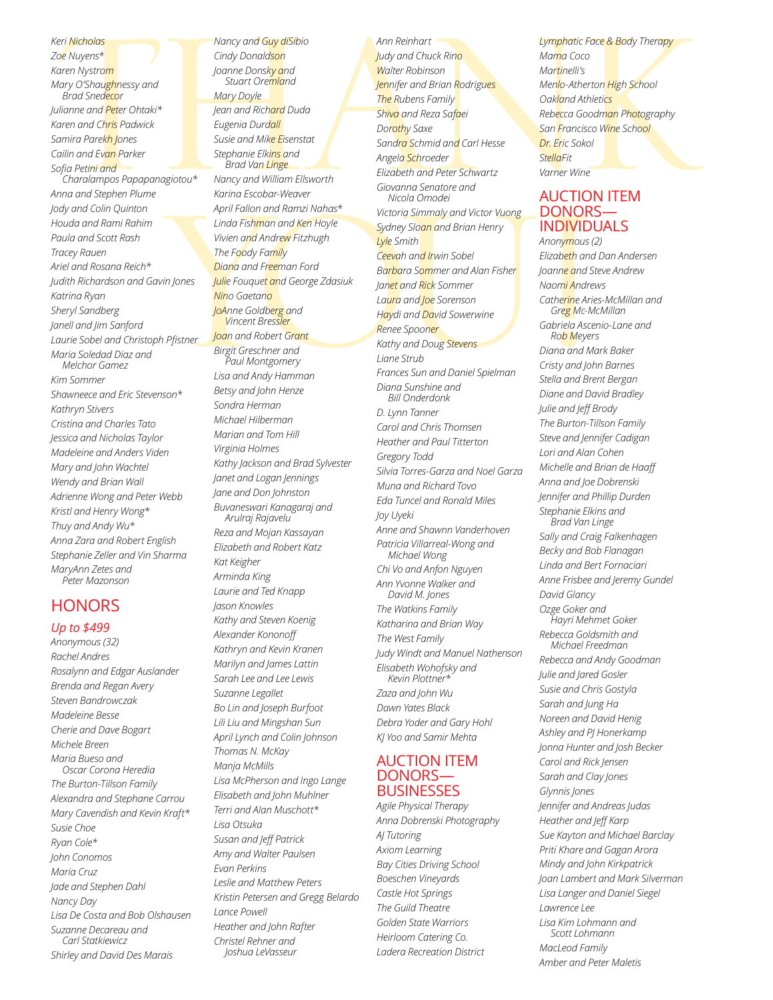*Keri Nicholas Zoe Nuyens\* Karen Nystrom Mary O'Shaughnessy and Brad Snedecor Julianne and Peter Ohtaki\* Karen and Chris Padwick Samira Parekh Jones Cailin and Evan Parker Sofia Petini and Charalampos Papapanagiotou\* Anna and Stephen Plume Jody and Colin Quinton Houda and Rami Rahim Paula and Scott Rash Tracey Rauen Ariel and Rosana Reich\* Judith Richardson and Gavin Jones Katrina Ryan Sheryl Sandberg Janell and Jim Sanford Laurie Sobel and Christoph Pfistner Maria Soledad Diaz and Melchor Gamez Kim Sommer Shawneece and Eric Stevenson\* Kathryn Stivers Cristina and Charles Tato Jessica and Nicholas Taylor Madeleine and Anders Viden Mary and John Wachtel Wendy and Brian Wall Adrienne Wong and Peter Webb Kristl and Henry Wong\* Thuy and Andy Wu\* Anna Zara and Robert English Stephanie Zeller and Vin Sharma MaryAnn Zetes and* 

#### *Peter Mazonson*

#### **HONORS**

#### *Up to \$499*

*Anonymous (32) Rachel Andres Rosalynn and Edgar Auslander Brenda and Regan Avery Steven Bandrowczak Madeleine Besse Cherie and Dave Bogart Michele Breen Maria Bueso and Oscar Corona Heredia The Burton-Tillson Family Alexandra and Stephane Carrou Mary Cavendish and Kevin Kraft\* Susie Choe Ryan Cole\* John Conomos Maria Cruz Jade and Stephen Dahl Nancy Day Lisa De Costa and Bob Olshausen Suzanne Decareau and Carl Statkiewicz Shirley and David Des Marais*

THANK Brad Van Linge Buyorth<br>
Marine Elistopeth and Peter Schwartz<br>
Marine Winiem Elistopeth and Peter Schwartz<br>
ADCTION<br>
Krinin and Ken Hoyle<br>
Marine Pooly Formity<br>
Wiestern and Ken Hoyle<br>
Winiem and Ken Hoyle<br>
Vivien and Andre *Cindy Donaldson Joanne Donsky and Stuart Oremland Mary Doyle Jean and Richard Duda Eugenia Durdall Susie and Mike Eisenstat Stephanie Elkins and Brad Van Linge Nancy and William Ellsworth Karina Escobar-Weaver April Fallon and Ramzi Nahas\* Linda Fishman and Ken Hoyle Vivien and Andrew Fitzhugh The Foody Family Diana and Freeman Ford Julie Fouquet and George Zdasiuk Nino Gaetano JoAnne Goldberg and Vincent Bressler Joan and Robert Grant Birgit Greschner and Paul Montgomery Lisa and Andy Hamman Betsy and John Henze Sondra Herman Michael Hilberman Marian and Tom Hill Virginia Holmes Kathy Jackson and Brad Sylvester Janet and Logan Jennings Jane and Don Johnston Buvaneswari Kanagaraj and Arulraj Rajavelu Reza and Mojan Kassayan Elizabeth and Robert Katz Kat Keigher Arminda King Laurie and Ted Knapp Jason Knowles Kathy and Steven Koenig Alexander Kononoff Kathryn and Kevin Kranen Marilyn and James Lattin Sarah Lee and Lee Lewis Suzanne Legallet Bo Lin and Joseph Burfoot Lili Liu and Mingshan Sun April Lynch and Colin Johnson Thomas N. McKay Manja McMills Lisa McPherson and Ingo Lange Elisabeth and John Muhlner Terri and Alan Muschott\* Lisa Otsuka Susan and Jeff Patrick Amy and Walter Paulsen Evan Perkins Leslie and Matthew Peters Kristin Petersen and Gregg Belardo Lance Powell Heather and John Rafter*

> *Christel Rehner and Joshua LeVasseur*

*Nancy and Guy diSibio*

*Ann Reinhart Judy and Chuck Rino Walter Robinson Jennifer and Brian Rodrigues The Rubens Family Shiva and Reza Safaei Dorothy Saxe Sandra Schmid and Carl Hesse Angela Schroeder Elizabeth and Peter Schwartz Giovanna Senatore and Nicola Omodei Victoria Simmaly and Victor Vuong Sydney Sloan and Brian Henry Lyle Smith Ceevah and Irwin Sobel Barbara Sommer and Alan Fisher Janet and Rick Sommer Laura and Joe Sorenson Haydi and David Sowerwine Renee Spooner Kathy and Doug Stevens Liane Strub Frances Sun and Daniel Spielman Diana Sunshine and Bill Onderdonk D. Lynn Tanner Carol and Chris Thomsen Heather and Paul Titterton Gregory Todd Silvia Torres-Garza and Noel Garza Muna and Richard Tovo Eda Tuncel and Ronald Miles Joy Uyeki Anne and Shawnn Vanderhoven Patricia Villarreal-Wong and Michael Wong Chi Vo and Anfon Nguyen Ann Yvonne Walker and David M. Jones The Watkins Family Katharina and Brian Way The West Family Judy Windt and Manuel Nathenson Elisabeth Wohofsky and Kevin Plottner\* Zaza and John Wu Dawn Yates Black Debra Yoder and Gary Hohl KJ Yoo and Samir Mehta* AUCTION ITEM DONORS— **BUSINESSES** *Agile Physical Therapy Anna Dobrenski Photography AJ Tutoring Axiom Learning Bay Cities Driving School Boeschen Vineyards*

*Castle Hot Springs The Guild Theatre Golden State Warriors Heirloom Catering Co. Ladera Recreation District* *Lymphatic Face & Body Therapy Mama Coco Martinelli's Menlo-Atherton High School Oakland Athletics Rebecca Goodman Photography San Francisco Wine School Dr. Eric Sokol StellaFit Varner Wine*

#### AUCTION ITEM DONORS— INDIVIDUALS

*Anonymous (2) Elizabeth and Dan Andersen Joanne and Steve Andrew Naomi Andrews Catherine Aries-McMillan and Greg Mc-McMillan Gabriela Ascenio-Lane and Rob Meyers Diana and Mark Baker Cristy and John Barnes Stella and Brent Bergan Diane and David Bradley Julie and Jeff Brody The Burton-Tillson Family Steve and Jennifer Cadigan Lori and Alan Cohen Michelle and Brian de Haaff Anna and Joe Dobrenski Jennifer and Phillip Durden Stephanie Elkins and Brad Van Linge Sally and Craig Falkenhagen Becky and Bob Flanagan Linda and Bert Fornaciari Anne Frisbee and Jeremy Gundel David Glancy Ozge Goker and Hayri Mehmet Goker Rebecca Goldsmith and Michael Freedman Rebecca and Andy Goodman Julie and Jared Gosler Susie and Chris Gostyla Sarah and Jung Ha Noreen and David Henig Ashley and PJ Honerkamp Jonna Hunter and Josh Becker Carol and Rick Jensen Sarah and Clay Jones Glynnis Jones Jennifer and Andreas Judas Heather and Jeff Karp Sue Kayton and Michael Barclay Priti Khare and Gagan Arora Mindy and John Kirkpatrick Joan Lambert and Mark Silverman Lisa Langer and Daniel Siegel Lawrence Lee Lisa Kim Lohmann and Scott Lohmann MacLeod Family Amber and Peter Maletis*